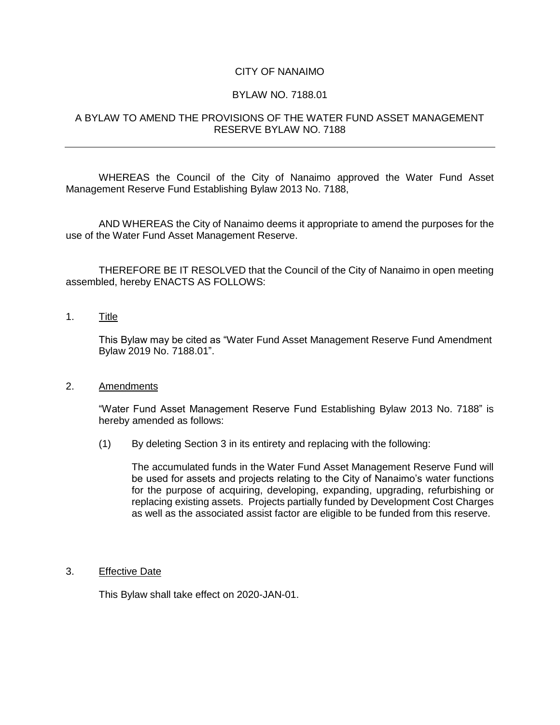# CITY OF NANAIMO

### BYLAW NO. 7188.01

# A BYLAW TO AMEND THE PROVISIONS OF THE WATER FUND ASSET MANAGEMENT RESERVE BYLAW NO. 7188

WHEREAS the Council of the City of Nanaimo approved the Water Fund Asset Management Reserve Fund Establishing Bylaw 2013 No. 7188,

AND WHEREAS the City of Nanaimo deems it appropriate to amend the purposes for the use of the Water Fund Asset Management Reserve.

THEREFORE BE IT RESOLVED that the Council of the City of Nanaimo in open meeting assembled, hereby ENACTS AS FOLLOWS:

## 1. Title

This Bylaw may be cited as "Water Fund Asset Management Reserve Fund Amendment Bylaw 2019 No. 7188.01".

#### 2. Amendments

"Water Fund Asset Management Reserve Fund Establishing Bylaw 2013 No. 7188" is hereby amended as follows:

(1) By deleting Section 3 in its entirety and replacing with the following:

The accumulated funds in the Water Fund Asset Management Reserve Fund will be used for assets and projects relating to the City of Nanaimo's water functions for the purpose of acquiring, developing, expanding, upgrading, refurbishing or replacing existing assets. Projects partially funded by Development Cost Charges as well as the associated assist factor are eligible to be funded from this reserve.

#### 3. Effective Date

This Bylaw shall take effect on 2020-JAN-01.